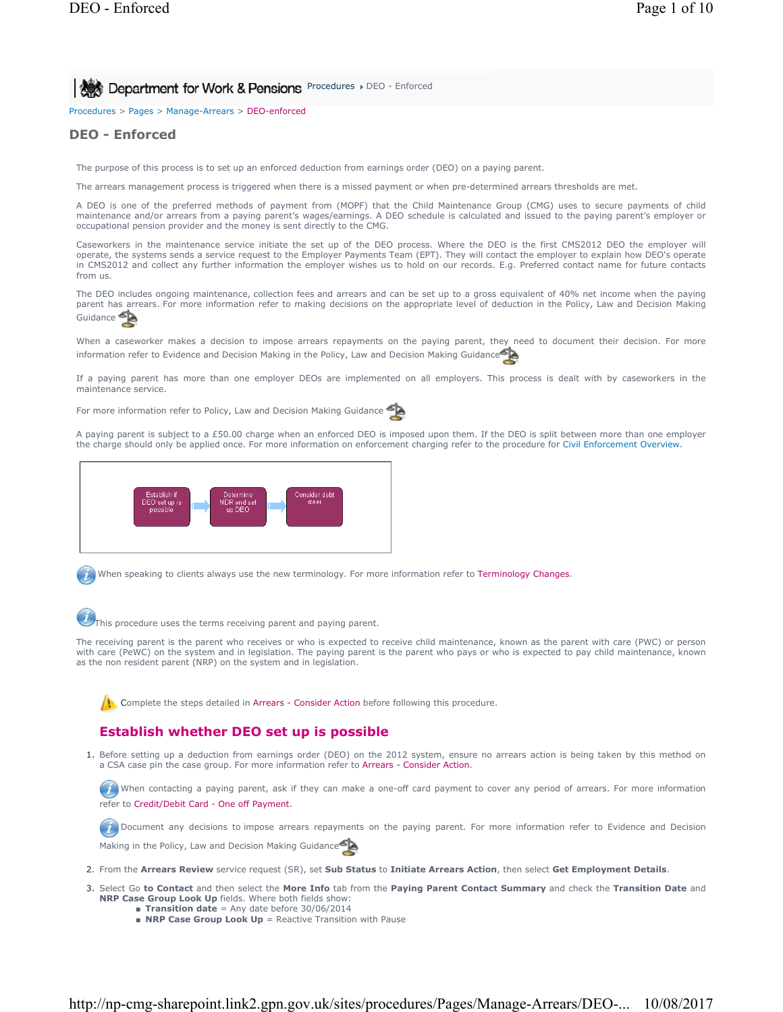**Procedures Department for Work & Pensions** Procedures DEO - Enforced

Procedures > Pages > Manage-Arrears > DEO-enforced

# **DEO - Enforced**

The purpose of this process is to set up an enforced deduction from earnings order (DEO) on a paying parent.

The arrears management process is triggered when there is a missed payment or when pre-determined arrears thresholds are met.

A DEO is one of the preferred methods of payment from (MOPF) that the Child Maintenance Group (CMG) uses to secure payments of child maintenance and/or arrears from a paying parent's wages/earnings. A DEO schedule is calculated and issued to the paying parent's employer or occupational pension provider and the money is sent directly to the CMG.

Caseworkers in the maintenance service initiate the set up of the DEO process. Where the DEO is the first CMS2012 DEO the employer will operate, the systems sends a service request to the Employer Payments Team (EPT). They will contact the employer to explain how DEO's operate in CMS2012 and collect any further information the employer wishes us to hold on our records. E.g. Preferred contact name for future contacts from us.

The DEO includes ongoing maintenance, collection fees and arrears and can be set up to a gross equivalent of 40% net income when the paying parent has arrears. For more information refer to making decisions on the appropriate level of deduction in the Policy, Law and Decision Making Guidance

When a caseworker makes a decision to impose arrears repayments on the paying parent, they need to document their decision. For more information refer to Evidence and Decision Making in the Policy, Law and Decision Making Guidance<sup>5</sup>

If a paying parent has more than one employer DEOs are implemented on all employers. This process is dealt with by caseworkers in the maintenance service.

For more information refer to Policy, Law and Decision Making Guidance

A paying parent is subject to a £50.00 charge when an enforced DEO is imposed upon them. If the DEO is split between more than one employer the charge should only be applied once. For more information on enforcement charging refer to the procedure for Civil Enforcement Overview.



When speaking to clients always use the new terminology. For more information refer to Terminology Changes.

This procedure uses the terms receiving parent and paying parent.

The receiving parent is the parent who receives or who is expected to receive child maintenance, known as the parent with care (PWC) or person with care (PeWC) on the system and in legislation. The paying parent is the parent who pays or who is expected to pay child maintenance, known as the non resident parent (NRP) on the system and in legislation.

Complete the steps detailed in Arrears - Consider Action before following this procedure.

# **Establish whether DEO set up is possible**

1. Before setting up a deduction from earnings order (DEO) on the 2012 system, ensure no arrears action is being taken by this method on a CSA case pin the case group. For more information refer to Arrears - Consider Action.

When contacting a paying parent, ask if they can make a one-off card payment to cover any period of arrears. For more information refer to Credit/Debit Card - One off Payment.

Document any decisions to impose arrears repayments on the paying parent. For more information refer to Evidence and Decision Making in the Policy, Law and Decision Making Guidance

- 2. From the **Arrears Review** service request (SR), set **Sub Status** to **Initiate Arrears Action**, then select **Get Employment Details**.
- Select Go **to Contact** and then select the **More Info** tab from the **Paying Parent Contact Summary** and check the **Transition Date** and 3. **NRP Case Group Look Up** fields. Where both fields show:
	- **Transition date** = Any date before 30/06/2014
	- **NRP Case Group Look Up** = Reactive Transition with Pause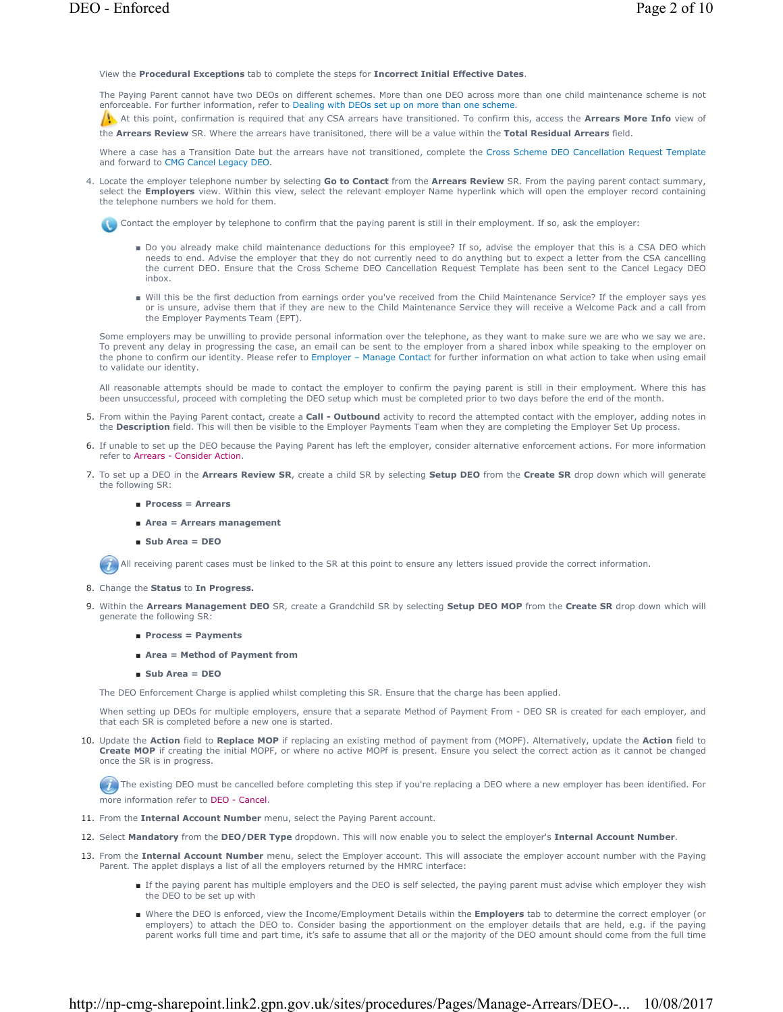View the **Procedural Exceptions** tab to complete the steps for **Incorrect Initial Effective Dates**.

The Paying Parent cannot have two DEOs on different schemes. More than one DEO across more than one child maintenance scheme is not enforceable. For further information, refer to Dealing with DEOs set up on more than one scheme.

At this point, confirmation is required that any CSA arrears have transitioned. To confirm this, access the **Arrears More Info** view of the **Arrears Review** SR. Where the arrears have tranisitoned, there will be a value within the **Total Residual Arrears** field.

Where a case has a Transition Date but the arrears have not transitioned, complete the Cross Scheme DEO Cancellation Request Template and forward to CMG Cancel Legacy DEO.

Locate the employer telephone number by selecting **Go to Contact** from the **Arrears Review** SR. From the paying parent contact summary, 4. select the **Employers** view. Within this view, select the relevant employer Name hyperlink which will open the employer record containing the telephone numbers we hold for them.

Contact the employer by telephone to confirm that the paying parent is still in their employment. If so, ask the employer:

- Do you already make child maintenance deductions for this employee? If so, advise the employer that this is a CSA DEO which needs to end. Advise the employer that they do not currently need to do anything but to expect a letter from the CSA cancelling the current DEO. Ensure that the Cross Scheme DEO Cancellation Request Template has been sent to the Cancel Legacy DEO inbox.
- Will this be the first deduction from earnings order you've received from the Child Maintenance Service? If the employer says yes or is unsure, advise them that if they are new to the Child Maintenance Service they will receive a Welcome Pack and a call from the Employer Payments Team (EPT).

Some employers may be unwilling to provide personal information over the telephone, as they want to make sure we are who we say we are. To prevent any delay in progressing the case, an email can be sent to the employer from a shared inbox while speaking to the employer on the phone to confirm our identity. Please refer to Employer – Manage Contact for further information on what action to take when using email to validate our identity.

All reasonable attempts should be made to contact the employer to confirm the paying parent is still in their employment. Where this has been unsuccessful, proceed with completing the DEO setup which must be completed prior to two days before the end of the month.

- 5. From within the Paying Parent contact, create a **Call Outbound** activity to record the attempted contact with the employer, adding notes in the **Description** field. This will then be visible to the Employer Payments Team when they are completing the Employer Set Up process.
- 6. If unable to set up the DEO because the Paying Parent has left the employer, consider alternative enforcement actions. For more information refer to Arrears - Consider Action.
- 7. To set up a DEO in the Arrears Review SR, create a child SR by selecting Setup DEO from the Create SR drop down which will generate the following SR:
	- **Process = Arrears**
	- **Area = Arrears management**
	- **Sub Area = DEO**

All receiving parent cases must be linked to the SR at this point to ensure any letters issued provide the correct information.

- 8. Change the **Status** to **In Progress.**
- 9. Within the Arrears Management DEO SR, create a Grandchild SR by selecting Setup DEO MOP from the Create SR drop down which will generate the following SR:
	- **Process = Payments**
	- **Area = Method of Payment from**
	- **Sub Area = DEO**

The DEO Enforcement Charge is applied whilst completing this SR. Ensure that the charge has been applied.

When setting up DEOs for multiple employers, ensure that a separate Method of Payment From - DEO SR is created for each employer, and that each SR is completed before a new one is started.

10. Update the Action field to Replace MOP if replacing an existing method of payment from (MOPF). Alternatively, update the Action field to **Create MOP** if creating the initial MOPF, or where no active MOPf is present. Ensure you select the correct action as it cannot be changed once the SR is in progress.

The existing DEO must be cancelled before completing this step if you're replacing a DEO where a new employer has been identified. For more information refer to DEO - Cancel.

- 11. From the **Internal Account Number** menu, select the Paying Parent account.
- 12. Select **Mandatory** from the **DEO/DER Type** dropdown. This will now enable you to select the employer's **Internal Account Number**.
- 13. From the Internal Account Number menu, select the Employer account. This will associate the employer account number with the Paying Parent. The applet displays a list of all the employers returned by the HMRC interface:
	- If the paying parent has multiple employers and the DEO is self selected, the paying parent must advise which employer they wish the DEO to be set up with
	- Where the DEO is enforced, view the Income/Employment Details within the **Employers** tab to determine the correct employer (or employers) to attach the DEO to. Consider basing the apportionment on the employer details that are held, e.g. if the paying parent works full time and part time, it's safe to assume that all or the majority of the DEO amount should come from the full time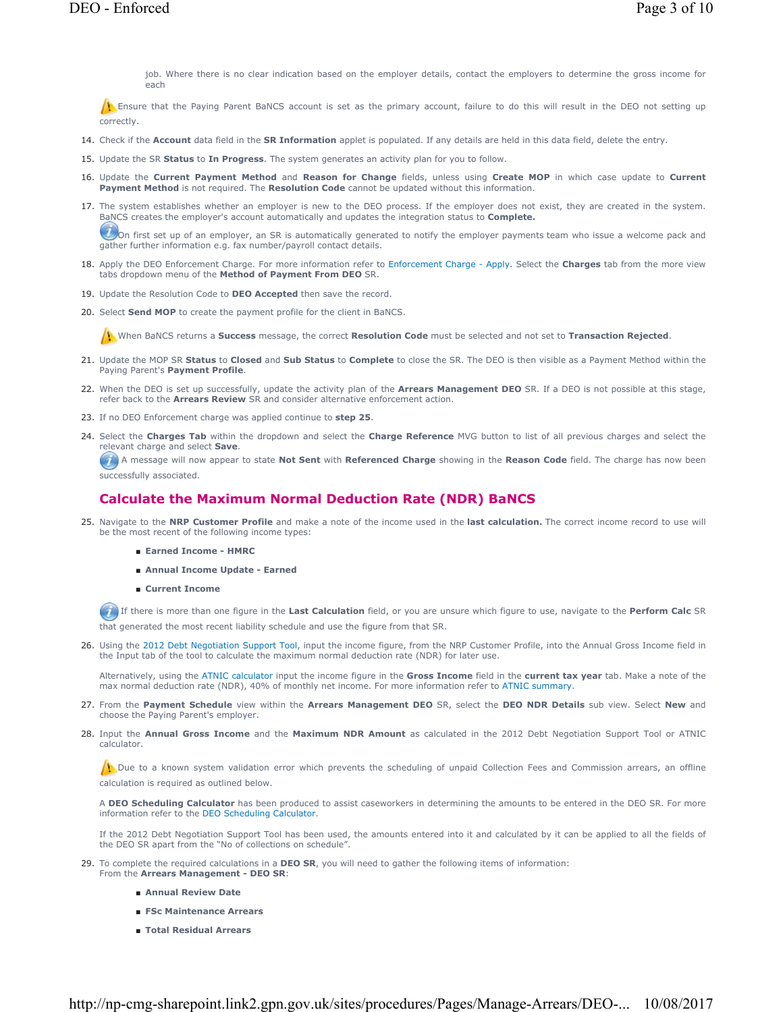job. Where there is no clear indication based on the employer details, contact the employers to determine the gross income for each

Ensure that the Paying Parent BaNCS account is set as the primary account, failure to do this will result in the DEO not setting up correctly.

- 14. Check if the **Account** data field in the **SR Information** applet is populated. If any details are held in this data field, delete the entry.
- 15. Update the SR **Status** to **In Progress**. The system generates an activity plan for you to follow.
- 16. Update the **Current Payment Method** and Reason for Change fields, unless using Create MOP in which case update to Current **Payment Method** is not required. The **Resolution Code** cannot be updated without this information.
- 17. The system establishes whether an employer is new to the DEO process. If the employer does not exist, they are created in the system. BaNCS creates the employer's account automatically and updates the integration status to **Complete.**

 $U$ On first set up of an employer, an SR is automatically generated to notify the employer payments team who issue a welcome pack and gather further information e.g. fax number/payroll contact details.

- 18. Apply the DEO Enforcement Charge. For more information refer to Enforcement Charge Apply. Select the **Charges** tab from the more view tabs dropdown menu of the **Method of Payment From DEO** SR.
- 19. Update the Resolution Code to **DEO Accepted** then save the record.
- 20. Select **Send MOP** to create the payment profile for the client in BaNCS.

When BaNCS returns a **Success** message, the correct **Resolution Code** must be selected and not set to **Transaction Rejected**.

- 21. Update the MOP SR Status to Closed and Sub Status to Complete to close the SR. The DEO is then visible as a Payment Method within the Paying Parent's **Payment Profile**.
- 22. When the DEO is set up successfully, update the activity plan of the Arrears Management DEO SR. If a DEO is not possible at this stage, refer back to the **Arrears Review** SR and consider alternative enforcement action.
- 23. If no DEO Enforcement charge was applied continue to **step 25**.
- 24. Select the Charges Tab within the dropdown and select the Charge Reference MVG button to list of all previous charges and select the relevant charge and select **Save**.

A message will now appear to state **Not Sent** with **Referenced Charge** showing in the **Reason Code** field. The charge has now been successfully associated.

### **Calculate the Maximum Normal Deduction Rate (NDR) BaNCS**

- 25. Navigate to the NRP Customer Profile and make a note of the income used in the last calculation. The correct income record to use will be the most recent of the following income types:
	- **Earned Income HMRC**
	- **Annual Income Update Earned**
	- **Current Income**

If there is more than one figure in the **Last Calculation** field, or you are unsure which figure to use, navigate to the **Perform Calc** SR that generated the most recent liability schedule and use the figure from that SR.

26. Using the 2012 Debt Negotiation Support Tool, input the income figure, from the NRP Customer Profile, into the Annual Gross Income field in the Input tab of the tool to calculate the maximum normal deduction rate (NDR) for later use.

Alternatively, using the ATNIC calculator input the income figure in the **Gross Income** field in the **current tax year** tab. Make a note of the max normal deduction rate (NDR), 40% of monthly net income. For more information refer to ATNIC summary.

- From the **Payment Schedule** view within the **Arrears Management DEO** SR, select the **DEO NDR Details** sub view. Select **New** and 27. choose the Paying Parent's employer.
- 28. Input the Annual Gross Income and the Maximum NDR Amount as calculated in the 2012 Debt Negotiation Support Tool or ATNIC calculator.

 $\Lambda$  Due to a known system validation error which prevents the scheduling of unpaid Collection Fees and Commission arrears, an offline calculation is required as outlined below.

A **DEO Scheduling Calculator** has been produced to assist caseworkers in determining the amounts to be entered in the DEO SR. For more information refer to the DEO Scheduling Calculator.

If the 2012 Debt Negotiation Support Tool has been used, the amounts entered into it and calculated by it can be applied to all the fields of the DEO SR apart from the "No of collections on schedule".

- 29. To complete the required calculations in a **DEO SR**, you will need to gather the following items of information:
	- From the **Arrears Management DEO SR**:
		- **Annual Review Date**
		- **FSc Maintenance Arrears**
		- **Total Residual Arrears**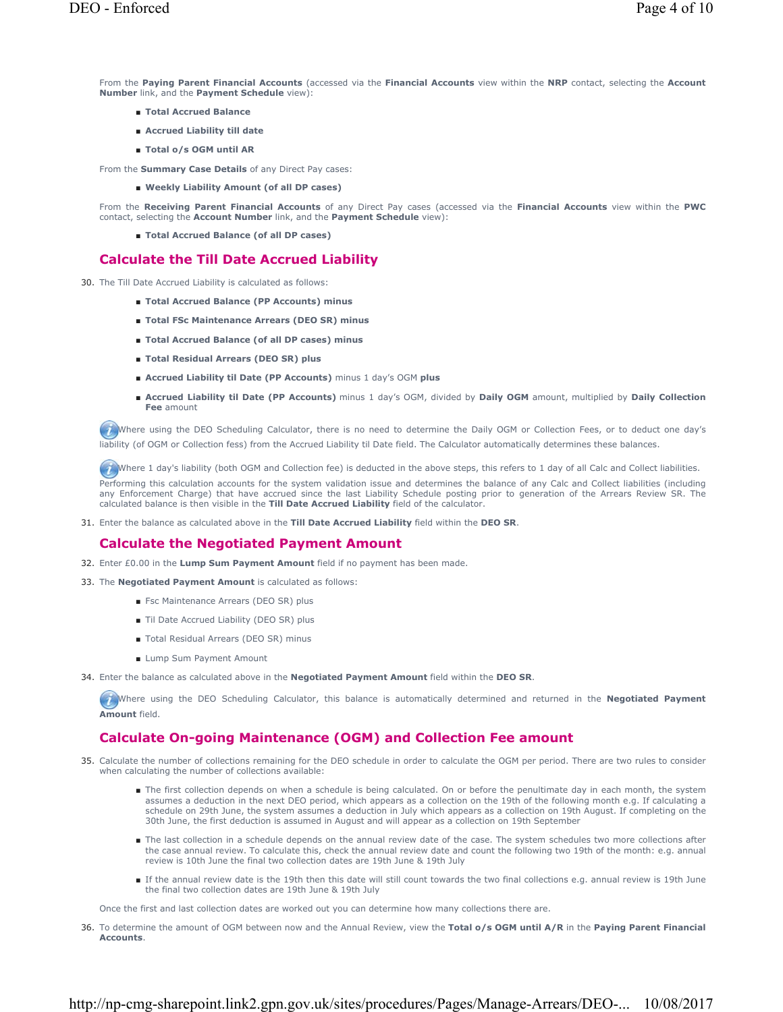From the **Paying Parent Financial Accounts** (accessed via the **Financial Accounts** view within the **NRP** contact, selecting the **Account Number** link, and the **Payment Schedule** view):

- **Total Accrued Balance**
- **Accrued Liability till date**
- **Total o/s OGM until AR**

From the **Summary Case Details** of any Direct Pay cases:

■ Weekly Liability Amount (of all DP cases)

From the **Receiving Parent Financial Accounts** of any Direct Pay cases (accessed via the **Financial Accounts** view within the **PWC**  contact, selecting the **Account Number** link, and the **Payment Schedule** view):

■ **Total Accrued Balance (of all DP cases)**

## **Calculate the Till Date Accrued Liability**

- 30. The Till Date Accrued Liability is calculated as follows:
	- **Total Accrued Balance (PP Accounts) minus**
	- **Total FSc Maintenance Arrears (DEO SR)** minus
	- **Total Accrued Balance (of all DP cases) minus**
	- **Total Residual Arrears (DEO SR) plus**
	- **Accrued Liability til Date (PP Accounts)** minus 1 day's OGM **plus**
	- Accrued Liability til Date (PP Accounts) minus 1 day's OGM, divided by Daily OGM amount, multiplied by Daily Collection **Fee** amount

Where using the DEO Scheduling Calculator, there is no need to determine the Daily OGM or Collection Fees, or to deduct one day's liability (of OGM or Collection fess) from the Accrued Liability til Date field. The Calculator automatically determines these balances.

Where 1 day's liability (both OGM and Collection fee) is deducted in the above steps, this refers to 1 day of all Calc and Collect liabilities.

Performing this calculation accounts for the system validation issue and determines the balance of any Calc and Collect liabilities (including any Enforcement Charge) that have accrued since the last Liability Schedule posting prior to generation of the Arrears Review SR. The calculated balance is then visible in the **Till Date Accrued Liability** field of the calculator.

Enter the balance as calculated above in the **Till Date Accrued Liability** field within the **DEO SR**. 31.

### **Calculate the Negotiated Payment Amount**

- 32. Enter £0.00 in the **Lump Sum Payment Amount** field if no payment has been made.
- 33. The **Negotiated Payment Amount** is calculated as follows:
	- Fsc Maintenance Arrears (DEO SR) plus
	- Til Date Accrued Liability (DEO SR) plus
	- Total Residual Arrears (DEO SR) minus
	- Lump Sum Payment Amount
- 34. Enter the balance as calculated above in the **Negotiated Payment Amount** field within the **DEO SR**.

Where using the DEO Scheduling Calculator, this balance is automatically determined and returned in the **Negotiated Payment Amount** field.

## **Calculate On-going Maintenance (OGM) and Collection Fee amount**

- 35. Calculate the number of collections remaining for the DEO schedule in order to calculate the OGM per period. There are two rules to consider when calculating the number of collections available:
	- The first collection depends on when a schedule is being calculated. On or before the penultimate day in each month, the system assumes a deduction in the next DEO period, which appears as a collection on the 19th of the following month e.g. If calculating a schedule on 29th June, the system assumes a deduction in July which appears as a collection on 19th August. If completing on the 30th June, the first deduction is assumed in August and will appear as a collection on 19th September
	- The last collection in a schedule depends on the annual review date of the case. The system schedules two more collections after the case annual review. To calculate this, check the annual review date and count the following two 19th of the month: e.g. annual review is 10th June the final two collection dates are 19th June & 19th July
	- If the annual review date is the 19th then this date will still count towards the two final collections e.g. annual review is 19th June the final two collection dates are 19th June & 19th July

Once the first and last collection dates are worked out you can determine how many collections there are.

To determine the amount of OGM between now and the Annual Review, view the **Total o/s OGM until A/R** in the **Paying Parent Financial** 36. **Accounts**.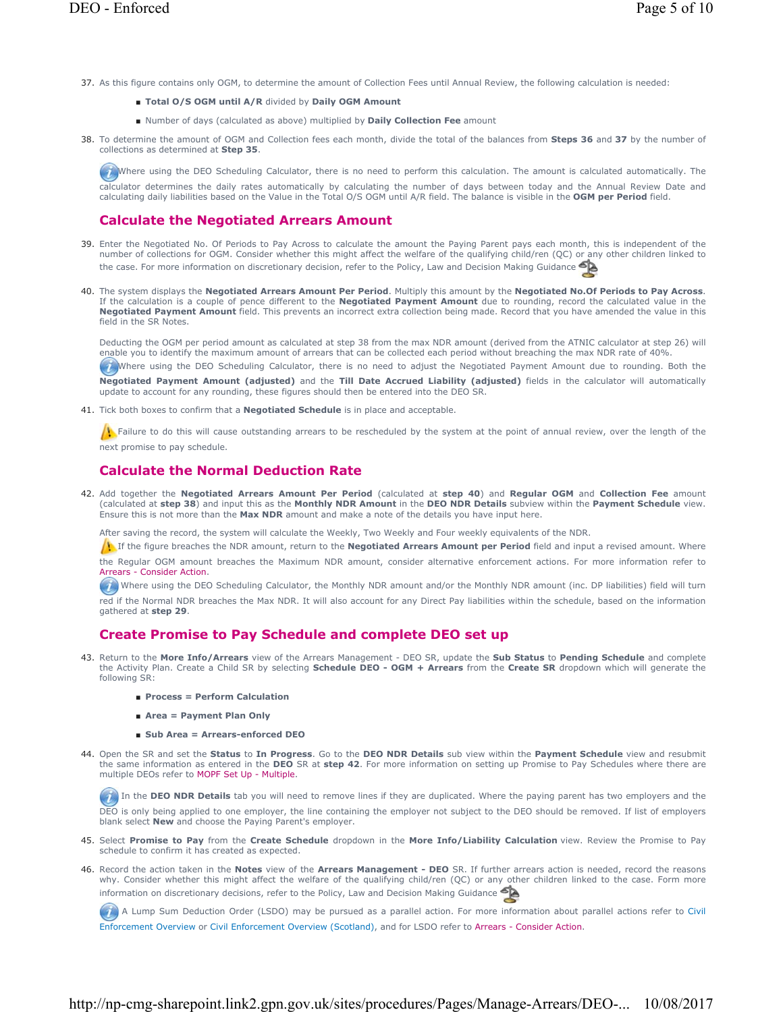- 37. As this figure contains only OGM, to determine the amount of Collection Fees until Annual Review, the following calculation is needed:
	- **Total O/S OGM until A/R** divided by **Daily OGM Amount**
	- Number of days (calculated as above) multiplied by **Daily Collection Fee** amount
- 38. To determine the amount of OGM and Collection fees each month, divide the total of the balances from Steps 36 and 37 by the number of collections as determined at **Step 35**.

Where using the DEO Scheduling Calculator, there is no need to perform this calculation. The amount is calculated automatically. The calculator determines the daily rates automatically by calculating the number of days between today and the Annual Review Date and calculating daily liabilities based on the Value in the Total O/S OGM until A/R field. The balance is visible in the **OGM per Period** field.

## **Calculate the Negotiated Arrears Amount**

- Enter the Negotiated No. Of Periods to Pay Across to calculate the amount the Paying Parent pays each month, this is independent of the number of collections for OGM. Consider whether this might affect the welfare of the qualifying child/ren (QC) or any other children linked to the case. For more information on discretionary decision, refer to the Policy, Law and Decision Making Guidance 39.
- 40. The system displays the **Negotiated Arrears Amount Per Period**. Multiply this amount by the **Negotiated No.Of Periods to Pay Across**. If the calculation is a couple of pence different to the **Negotiated Payment Amount** due to rounding, record the calculated value in the **Negotiated Payment Amount** field. This prevents an incorrect extra collection being made. Record that you have amended the value in this field in the SR Notes.

Deducting the OGM per period amount as calculated at step 38 from the max NDR amount (derived from the ATNIC calculator at step 26) will enable you to identify the maximum amount of arrears that can be collected each period without breaching the max NDR rate of 40%.

Where using the DEO Scheduling Calculator, there is no need to adjust the Negotiated Payment Amount due to rounding. Both the **Negotiated Payment Amount (adjusted)** and the **Till Date Accrued Liability (adjusted)** fields in the calculator will automatically update to account for any rounding, these figures should then be entered into the DEO SR.

41. Tick both boxes to confirm that a **Negotiated Schedule** is in place and acceptable.

 $\Lambda$  Failure to do this will cause outstanding arrears to be rescheduled by the system at the point of annual review, over the length of the next promise to pay schedule.

## **Calculate the Normal Deduction Rate**

Add together the **Negotiated Arrears Amount Per Period** (calculated at **step 40**) and **Regular OGM** and **Collection Fee** amount (calculated at **step 38**) and input this as the **Monthly NDR Amount** in the **DEO NDR Details** subview within the **Payment Schedule** view. Ensure this is not more than the **Max NDR** amount and make a note of the details you have input here. 42.

After saving the record, the system will calculate the Weekly, Two Weekly and Four weekly equivalents of the NDR.

If If the figure breaches the NDR amount, return to the **Negotiated Arrears Amount per Period** field and input a revised amount. Where the Regular OGM amount breaches the Maximum NDR amount, consider alternative enforcement actions. For more information refer to

Arrears - Consider Action. Where using the DEO Scheduling Calculator, the Monthly NDR amount and/or the Monthly NDR amount (inc. DP liabilities) field will turn

red if the Normal NDR breaches the Max NDR. It will also account for any Direct Pay liabilities within the schedule, based on the information gathered at **step 29**.

### **Create Promise to Pay Schedule and complete DEO set up**

- Return to the **More Info/Arrears** view of the Arrears Management DEO SR, update the **Sub Status** to **Pending Schedule** and complete 43. the Activity Plan. Create a Child SR by selecting **Schedule DEO - OGM + Arrears** from the **Create SR** dropdown which will generate the following SR:
	- **Process = Perform Calculation**
	- **Area = Payment Plan Only**
	- **Sub Area = Arrears-enforced DEO**
- 44. Open the SR and set the Status to In Progress. Go to the DEO NDR Details sub view within the Payment Schedule view and resubmit the same information as entered in the **DEO** SR at **step 42**. For more information on setting up Promise to Pay Schedules where there are multiple DEOs refer to MOPF Set Up - Multiple.

In the **DEO NDR Details** tab you will need to remove lines if they are duplicated. Where the paying parent has two employers and the DEO is only being applied to one employer, the line containing the employer not subject to the DEO should be removed. If list of employers blank select **New** and choose the Paying Parent's employer.

- 45. Select Promise to Pay from the Create Schedule dropdown in the More Info/Liability Calculation view. Review the Promise to Pay schedule to confirm it has created as expected.
- 46. Record the action taken in the Notes view of the Arrears Management DEO SR. If further arrears action is needed, record the reasons why. Consider whether this might affect the welfare of the qualifying child/ren (QC) or any other children linked to the case. Form more information on discretionary decisions, refer to the Policy, Law and Decision Making Guidance

A Lump Sum Deduction Order (LSDO) may be pursued as a parallel action. For more information about parallel actions refer to Civil Enforcement Overview or Civil Enforcement Overview (Scotland), and for LSDO refer to Arrears - Consider Action.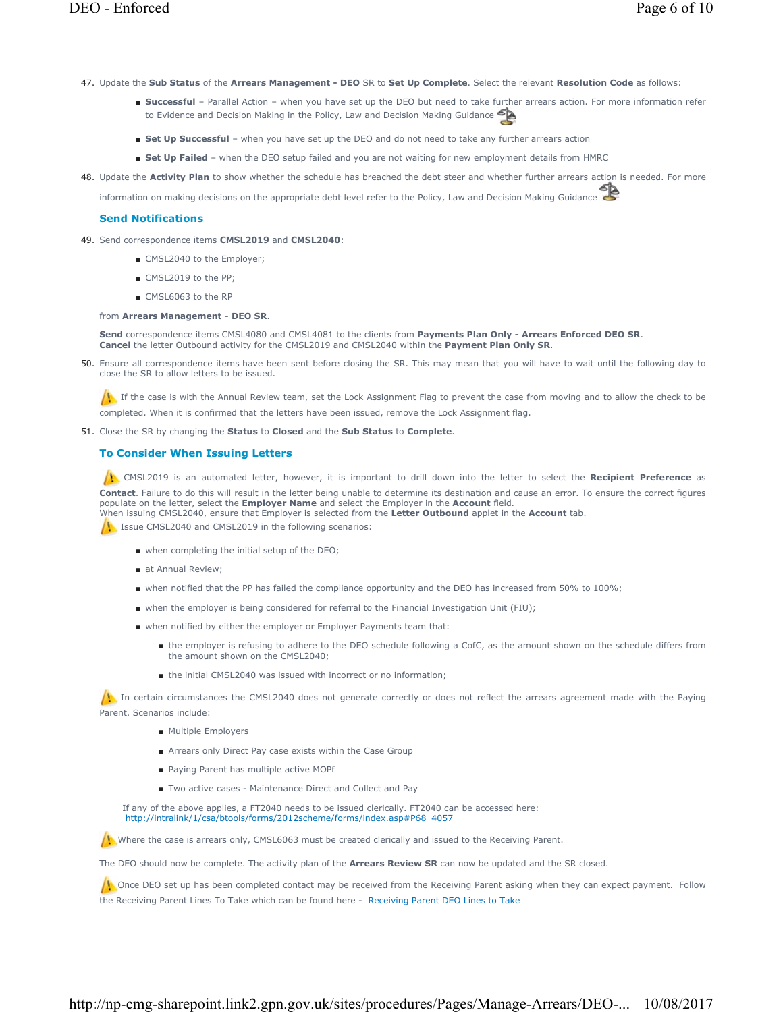- 47. Update the **Sub Status** of the **Arrears Management DEO** SR to **Set Up Complete**. Select the relevant **Resolution Code** as follows:
	- Successful Parallel Action when you have set up the DEO but need to take further arrears action. For more information refer to Evidence and Decision Making in the Policy, Law and Decision Making Guidance
	- **Set Up Successful** when you have set up the DEO and do not need to take any further arrears action
	- **Set Up Failed** when the DEO setup failed and you are not waiting for new employment details from HMRC
- 48. Update the Activity Plan to show whether the schedule has breached the debt steer and whether further arrears action is needed. For more

information on making decisions on the appropriate debt level refer to the Policy, Law and Decision Making Guidance

### **Send Notifications**

- 49. Send correspondence items CMSL2019 and CMSL2040:
	- CMSL2040 to the Employer;
	- CMSL2019 to the PP:
	- CMSL6063 to the RP

#### from **Arrears Management - DEO SR**.

**Send** correspondence items CMSL4080 and CMSL4081 to the clients from **Payments Plan Only - Arrears Enforced DEO SR**. **Cancel** the letter Outbound activity for the CMSL2019 and CMSL2040 within the **Payment Plan Only SR**.

Ensure all correspondence items have been sent before closing the SR. This may mean that you will have to wait until the following day to 50. close the SR to allow letters to be issued.

If the case is with the Annual Review team, set the Lock Assignment Flag to prevent the case from moving and to allow the check to be completed. When it is confirmed that the letters have been issued, remove the Lock Assignment flag.

Close the SR by changing the **Status** to **Closed** and the **Sub Status** to **Complete**. 51.

### **To Consider When Issuing Letters**

 CMSL2019 is an automated letter, however, it is important to drill down into the letter to select the **Recipient Preference** as **Contact**. Failure to do this will result in the letter being unable to determine its destination and cause an error. To ensure the correct figures populate on the letter, select the **Employer Name** and select the Employer in the **Account** field. When issuing CMSL2040, ensure that Employer is selected from the **Letter Outbound** applet in the **Account** tab.

It Issue CMSL2040 and CMSL2019 in the following scenarios:

- when completing the initial setup of the DEO;
- at Annual Review;
- when notified that the PP has failed the compliance opportunity and the DEO has increased from 50% to 100%;
- when the employer is being considered for referral to the Financial Investigation Unit (FIU);
- when notified by either the employer or Employer Payments team that:
	- the employer is refusing to adhere to the DEO schedule following a CofC, as the amount shown on the schedule differs from the amount shown on the CMSL2040;
	- the initial CMSL2040 was issued with incorrect or no information:

In certain circumstances the CMSL2040 does not generate correctly or does not reflect the arrears agreement made with the Paying Parent. Scenarios include:

- Multiple Employers
- Arrears only Direct Pay case exists within the Case Group
- Paying Parent has multiple active MOPf
- Two active cases Maintenance Direct and Collect and Pay

If any of the above applies, a FT2040 needs to be issued clerically. FT2040 can be accessed here: http://intralink/1/csa/btools/forms/2012scheme/forms/index.asp#P68\_4057

Where the case is arrears only, CMSL6063 must be created clerically and issued to the Receiving Parent.

The DEO should now be complete. The activity plan of the **Arrears Review SR** can now be updated and the SR closed.

 $\Lambda$  Once DEO set up has been completed contact may be received from the Receiving Parent asking when they can expect payment. Follow the Receiving Parent Lines To Take which can be found here - Receiving Parent DEO Lines to Take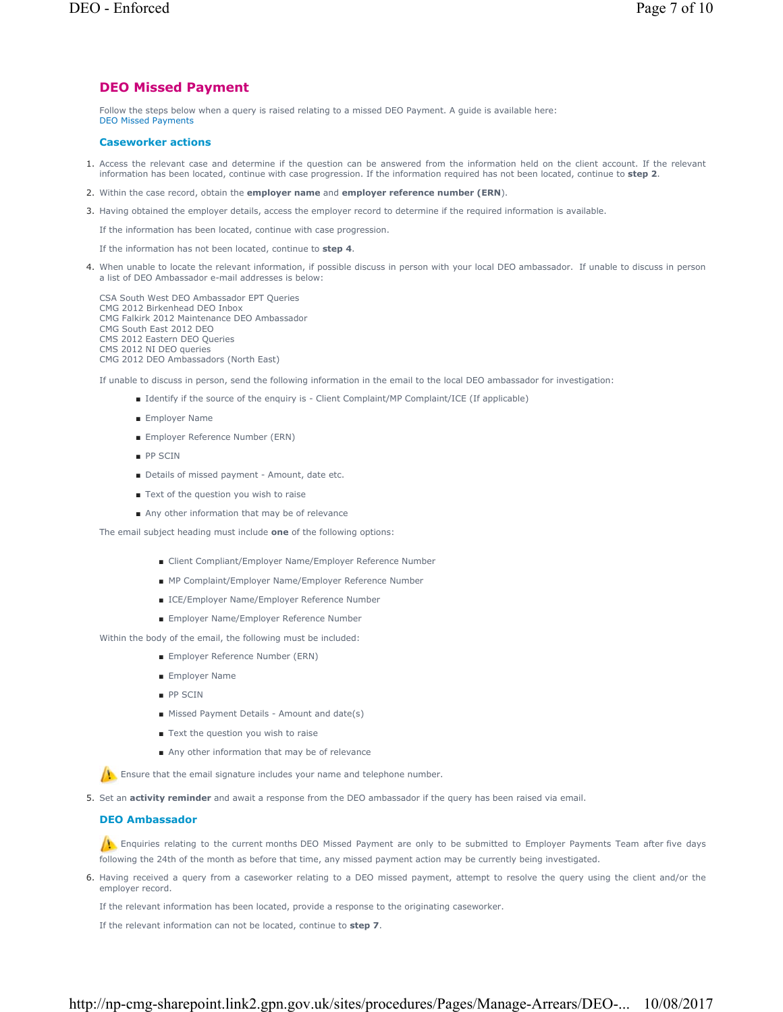## **DEO Missed Payment**

Follow the steps below when a query is raised relating to a missed DEO Payment. A guide is available here: DEO Missed Payments

### **Caseworker actions**

- 1. Access the relevant case and determine if the question can be answered from the information held on the client account. If the relevant information has been located, continue with case progression. If the information required has not been located, continue to **step 2**.
- 2. Within the case record, obtain the **employer name** and **employer reference number (ERN**).
- 3. Having obtained the employer details, access the employer record to determine if the required information is available.

If the information has been located, continue with case progression.

If the information has not been located, continue to **step 4**.

4. When unable to locate the relevant information, if possible discuss in person with your local DEO ambassador. If unable to discuss in person a list of DEO Ambassador e-mail addresses is below:

CSA South West DEO Ambassador EPT Queries CMG 2012 Birkenhead DEO Inbox CMG Falkirk 2012 Maintenance DEO Ambassador CMG South East 2012 DEO CMS 2012 Eastern DEO Queries CMS 2012 NI DEO queries CMG 2012 DEO Ambassadors (North East)

If unable to discuss in person, send the following information in the email to the local DEO ambassador for investigation:

- Identify if the source of the enquiry is Client Complaint/MP Complaint/ICE (If applicable)
- Employer Name
- Employer Reference Number (ERN)
- PP SCIN
- Details of missed payment Amount, date etc.
- Text of the question you wish to raise
- Any other information that may be of relevance

The email subject heading must include **one** of the following options:

- Client Compliant/Employer Name/Employer Reference Number
- MP Complaint/Employer Name/Employer Reference Number
- ICE/Employer Name/Employer Reference Number
- Employer Name/Employer Reference Number

Within the body of the email, the following must be included:

- Employer Reference Number (ERN)
- Employer Name
- PP SCIN
- Missed Payment Details Amount and date(s)
- Text the question you wish to raise
- Any other information that may be of relevance

**A**: Ensure that the email signature includes your name and telephone number.

5. Set an **activity reminder** and await a response from the DEO ambassador if the query has been raised via email.

### **DEO Ambassador**

Enquiries relating to the current months DEO Missed Payment are only to be submitted to Employer Payments Team after five days following the 24th of the month as before that time, any missed payment action may be currently being investigated.

6. Having received a query from a caseworker relating to a DEO missed payment, attempt to resolve the query using the client and/or the employer record.

If the relevant information has been located, provide a response to the originating caseworker.

If the relevant information can not be located, continue to **step 7**.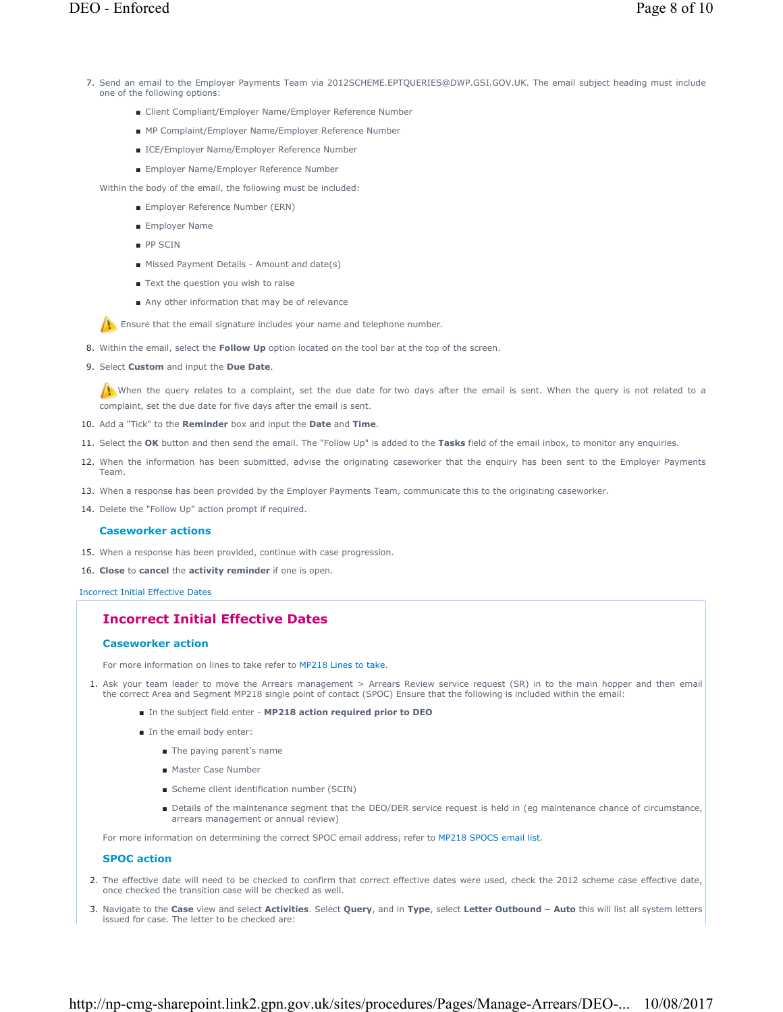- 7. Send an email to the Employer Payments Team via 2012SCHEME.EPTQUERIES@DWP.GSI.GOV.UK. The email subject heading must include one of the following options:
	- Client Compliant/Employer Name/Employer Reference Number
	- MP Complaint/Employer Name/Employer Reference Number
	- ICE/Employer Name/Employer Reference Number
	- Employer Name/Employer Reference Number

Within the body of the email, the following must be included:

- Employer Reference Number (ERN)
- Employer Name
- PP SCIN
- Missed Payment Details Amount and date(s)
- Text the question you wish to raise
- Any other information that may be of relevance

**Ensure that the email signature includes your name and telephone number.** 

- 8. Within the email, select the **Follow Up** option located on the tool bar at the top of the screen.
- 9. Select **Custom** and input the Due Date.

When the query relates to a complaint, set the due date for two days after the email is sent. When the query is not related to a complaint, set the due date for five days after the email is sent.

- 10. Add a "Tick" to the **Reminder** box and input the **Date** and **Time**.
- 11. Select the **OK** button and then send the email. The "Follow Up" is added to the **Tasks** field of the email inbox, to monitor any enquiries.
- 12. When the information has been submitted, advise the originating caseworker that the enguiry has been sent to the Employer Payments Team.
- 13. When a response has been provided by the Employer Payments Team, communicate this to the originating caseworker.
- 14. Delete the "Follow Up" action prompt if required.

#### **Caseworker actions**

- 15. When a response has been provided, continue with case progression.
- 16. **Close** to **cancel** the **activity reminder** if one is open.

Incorrect Initial Effective Dates

## **Incorrect Initial Effective Dates**

#### **Caseworker action**

For more information on lines to take refer to MP218 Lines to take.

- 1. Ask your team leader to move the Arrears management > Arrears Review service request (SR) in to the main hopper and then email the correct Area and Segment MP218 single point of contact (SPOC) Ensure that the following is included within the email:
	- In the subject field enter **MP218 action required prior to DEO**
	- In the email body enter:
		- The paying parent's name
		- Master Case Number
		- Scheme client identification number (SCIN)
		- Details of the maintenance segment that the DEO/DER service request is held in (eg maintenance chance of circumstance, arrears management or annual review)

For more information on determining the correct SPOC email address, refer to MP218 SPOCS email list.

### **SPOC action**

- 2. The effective date will need to be checked to confirm that correct effective dates were used, check the 2012 scheme case effective date, once checked the transition case will be checked as well.
- 3. Navigate to the Case view and select Activities. Select Query, and in Type, select Letter Outbound Auto this will list all system letters issued for case. The letter to be checked are: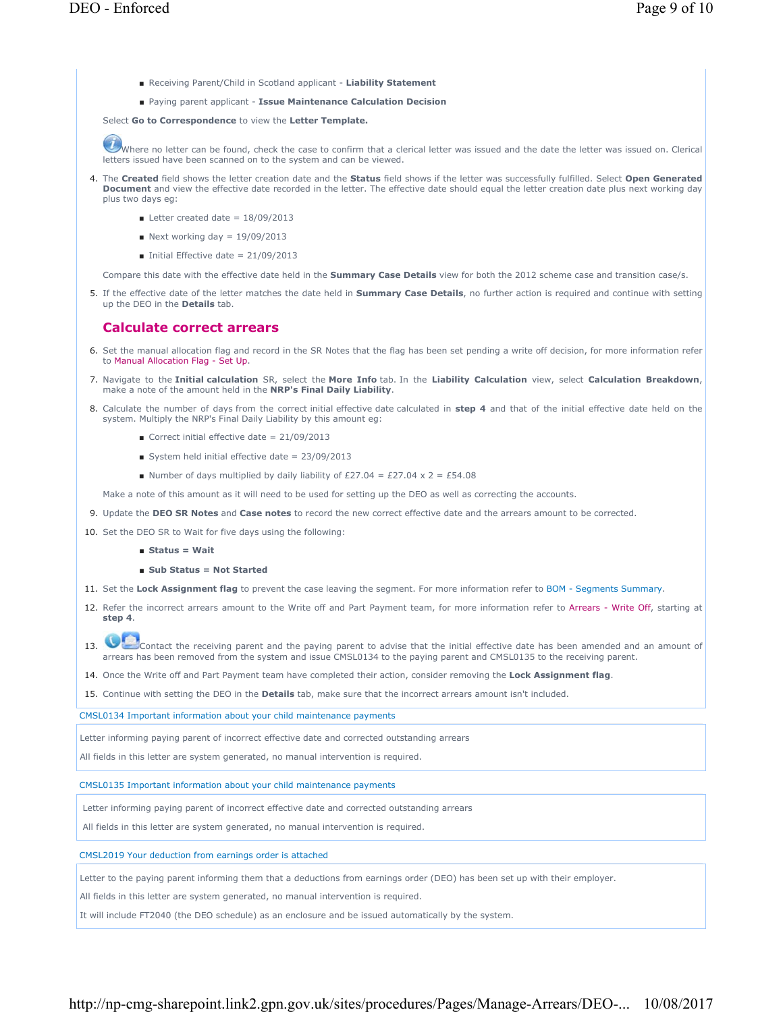- Receiving Parent/Child in Scotland applicant **Liability Statement**
- Paying parent applicant Issue Maintenance Calculation Decision

Select **Go to Correspondence** to view the **Letter Template.**

Where no letter can be found, check the case to confirm that a clerical letter was issued and the date the letter was issued on. Clerical letters issued have been scanned on to the system and can be viewed.

- The **Created** field shows the letter creation date and the **Status** field shows if the letter was successfully fulfilled. Select **Open Generated**  4. **Document** and view the effective date recorded in the letter. The effective date should equal the letter creation date plus next working day plus two days eg:
	- $\blacksquare$  Letter created date = 18/09/2013
	- $\blacksquare$  Next working day = 19/09/2013
	- $\blacksquare$  Initial Effective date = 21/09/2013

Compare this date with the effective date held in the **Summary Case Details** view for both the 2012 scheme case and transition case/s.

5. If the effective date of the letter matches the date held in **Summary Case Details**, no further action is required and continue with setting up the DEO in the **Details** tab.

### **Calculate correct arrears**

- 6. Set the manual allocation flag and record in the SR Notes that the flag has been set pending a write off decision, for more information refer to Manual Allocation Flag - Set Up.
- 7. Navigate to the Initial calculation SR, select the More Info tab. In the Liability Calculation view, select Calculation Breakdown, make a note of the amount held in the **NRP's Final Daily Liability**.
- 8. Calculate the number of days from the correct initial effective date calculated in step 4 and that of the initial effective date held on the system. Multiply the NRP's Final Daily Liability by this amount eg:
	- Gorrect initial effective date =  $21/09/2013$
	- System held initial effective date = 23/09/2013
	- Number of days multiplied by daily liability of £27.04 = £27.04 x 2 = £54.08

Make a note of this amount as it will need to be used for setting up the DEO as well as correcting the accounts.

- 9. Update the **DEO SR Notes** and **Case notes** to record the new correct effective date and the arrears amount to be corrected.
- 10. Set the DEO SR to Wait for five days using the following:
	- **Status = Wait**
	- **Sub Status = Not Started**
- 11. Set the **Lock Assignment flag** to prevent the case leaving the segment. For more information refer to BOM Segments Summary.
- 12. Refer the incorrect arrears amount to the Write off and Part Payment team, for more information refer to Arrears Write Off, starting at **step 4**.
- 13. Contact the receiving parent and the paying parent to advise that the initial effective date has been amended and an amount of arrears has been removed from the system and issue CMSL0134 to the paying parent and CMSL0135 to the receiving parent.
- 14. Once the Write off and Part Payment team have completed their action, consider removing the **Lock Assignment flag**.

15. Continue with setting the DEO in the **Details** tab, make sure that the incorrect arrears amount isn't included.

CMSL0134 Important information about your child maintenance payments

Letter informing paying parent of incorrect effective date and corrected outstanding arrears

All fields in this letter are system generated, no manual intervention is required.

CMSL0135 Important information about your child maintenance payments

Letter informing paying parent of incorrect effective date and corrected outstanding arrears

All fields in this letter are system generated, no manual intervention is required.

CMSL2019 Your deduction from earnings order is attached

Letter to the paying parent informing them that a deductions from earnings order (DEO) has been set up with their employer.

All fields in this letter are system generated, no manual intervention is required.

It will include FT2040 (the DEO schedule) as an enclosure and be issued automatically by the system.